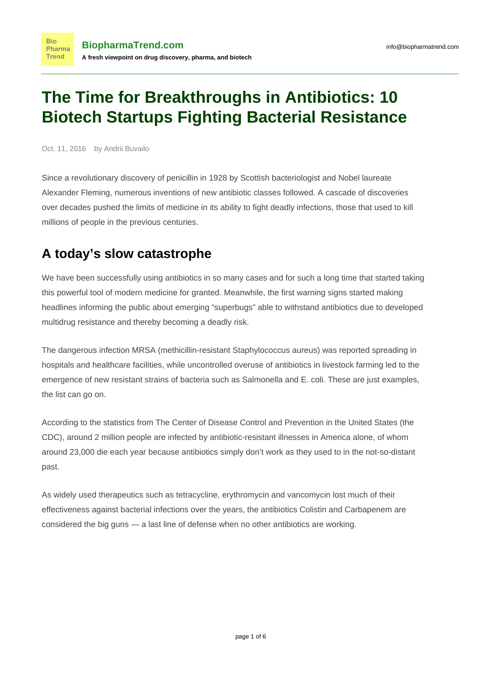# **The Time for Breakthroughs in Antibiotics: 10 Biotech Startups Fighting Bacterial Resistance**

Oct. 11, 2016 by Andrii Buvailo

**Bio** 

Since a revolutionary discovery of penicillin in 1928 by Scottish bacteriologist and Nobel laureate Alexander Fleming, numerous inventions of new antibiotic classes followed. A cascade of discoveries over decades pushed the limits of medicine in its ability to fight deadly infections, those that used to kill millions of people in the previous centuries.

## **A today's slow catastrophe**

We have been successfully using antibiotics in so many cases and for such a long time that started taking this powerful tool of modern medicine for granted. Meanwhile, the first warning signs started [making](http://www.businessinsider.com/how-common-will-antibiotic-resistant-infections-be-in-the-future-2015-6) [headlines](http://www.businessinsider.com/how-common-will-antibiotic-resistant-infections-be-in-the-future-2015-6) informing the public about emerging "superbugs" able to withstand antibiotics due to developed multidrug [resistance](http://footnote1.com/when-drugs-dont-work/) and thereby becoming a deadly risk.

The dangerous infection MRSA (methicillin-resistant Staphylococcus aureus) was [reported](http://cid.oxfordjournals.org/content/46/Supplement_5/S344.long) spreading in hospitals and healthcare facilities, while uncontrolled overuse of antibiotics in livestock farming led to the emergence of new resistant strains of bacteria such as Salmonella and E. coli. These are just examples, the list can go on.

According to the statistics from The Center of Disease Control and Prevention in the United States (the CDC), around 2 million people are infected by [antibiotic-resistant illnesses](http://www.cdc.gov/drugresistance/about.html) in America alone, of whom around 23,000 die each year because antibiotics simply don't work as they used to in the not-so-distant past.

As widely used therapeutics such as tetracycline, erythromycin and vancomycin lost much of their effectiveness against bacterial infections over the years, the antibiotics Colistin and Carbapenem are considered the big guns — a last line of defense when no other antibiotics are working.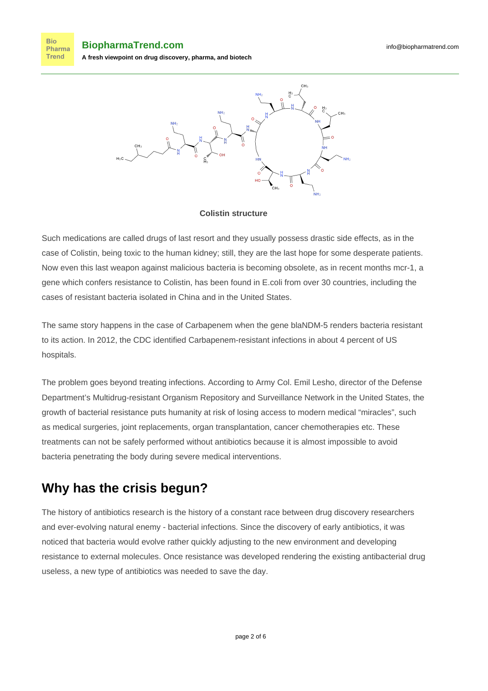**Bio BiopharmaTrend.com** Pharma **Trend A fresh viewpoint on drug discovery, pharma, and biotech**



#### **Colistin structure**

Such medications are called [drugs of last resort](https://en.wikipedia.org/wiki/Drug_of_last_resort) and they usually possess drastic side effects, as in the case of Colistin, being toxic to the human kidney; still, they are the last hope for some desperate patients. Now even this last weapon against malicious bacteria is becoming obsolete, as in recent months mcr-1, a gene which confers resistance to Colistin, has been found in E.coli from over 30 countries, including the cases of resistant bacteria [isolated in China](https://www.statnews.com/2015/11/18/superbugs-china-colistin/) and in [the United States](https://www.statnews.com/2016/07/11/earliest-superbug-found-us/).

The same story happens in the case of Carbapenem when the gene blaNDM-5 renders bacteria resistant to its action. In 2012, the CDC identified Carbapenem-resistant infections in about [4 percent of US](http://www.cdc.gov/vitalsigns/HAI/CRE/) [hospitals.](http://www.cdc.gov/vitalsigns/HAI/CRE/)

The problem goes beyond treating infections. [According to](http://www.latimes.com/science/sciencenow/la-sci-antibiotic-resistance-20160711-snap-story.html) Army Col. Emil Lesho, director of the Defense Department's Multidrug-resistant Organism Repository and Surveillance Network in the United States, the growth of bacterial resistance puts humanity at risk of losing access to modern medical "miracles", such as medical surgeries, joint replacements, organ transplantation, cancer chemotherapies etc. These treatments can not be safely performed without antibiotics because it is almost impossible to avoid bacteria penetrating the body during severe medical interventions.

#### **Why has the crisis begun?**

The history of antibiotics research is the history of a constant race between drug discovery researchers and ever-evolving natural enemy - bacterial infections. Since the discovery of early antibiotics, it was noticed that bacteria would evolve rather quickly adjusting to the new environment and developing resistance to external molecules. Once resistance was developed rendering the existing antibacterial drug useless, a new type of antibiotics was needed to save the day.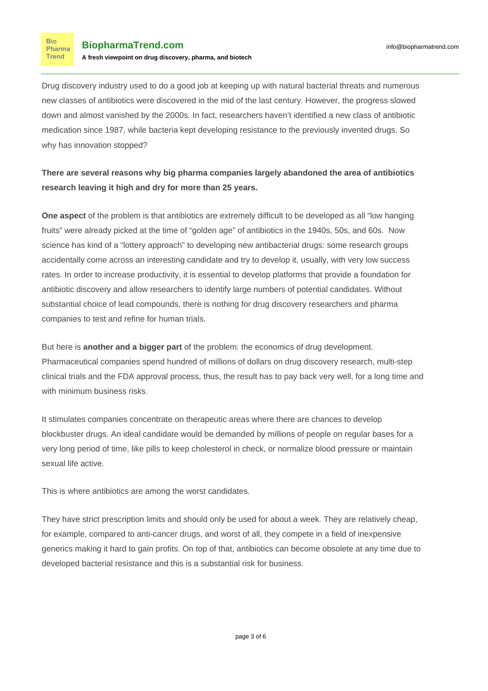**Bio** Pharma Trend

Drug discovery industry used to do a good job at keeping up with natural bacterial threats and numerous new classes of antibiotics were discovered in the mid of the last century. However, the progress slowed down and almost vanished by the 2000s. In fact, researchers haven't identified a new class of antibiotic medication since 1987, while bacteria kept developing resistance to the previously invented drugs. So why has innovation stopped?

#### **There are several reasons why big pharma companies largely abandoned the area of antibiotics research leaving it high and dry for more than 25 years.**

**One aspect** of the problem is that antibiotics are extremely difficult to be developed as all "low hanging fruits" were already picked at the time of "golden age" of antibiotics in the 1940s, 50s, and 60s. Now science has kind of a "lottery approach" to developing new antibacterial drugs: some research groups accidentally come across an interesting candidate and try to develop it, usually, with very low success rates. In order to increase productivity, it is essential to develop platforms that provide a foundation for antibiotic discovery and allow researchers to identify large numbers of potential candidates. Without substantial choice of lead compounds, there is nothing for drug discovery researchers and pharma companies to test and refine for human trials.

But here is **another and a bigger part** of the problem: the economics of drug development. Pharmaceutical companies spend hundred of millions of dollars on drug discovery research, multi-step clinical trials and the FDA approval process, thus, the result has to pay back very well, for a long time and with minimum business risks.

It stimulates companies concentrate on therapeutic areas where there are chances to develop blockbuster drugs. An ideal candidate would be demanded by millions of people on regular bases for a very long period of time, like pills to keep cholesterol in check, or normalize blood pressure or maintain sexual life active.

This is where antibiotics are among the worst candidates.

They have strict prescription limits and should only be used for about a week. They are relatively cheap, for example, compared to anti-cancer drugs, and worst of all, they compete in a field of inexpensive [generics](https://en.wikipedia.org/wiki/Generic_drug) making it hard to gain profits. On top of that, antibiotics can become obsolete at any time due to developed bacterial resistance and this is a substantial risk for business.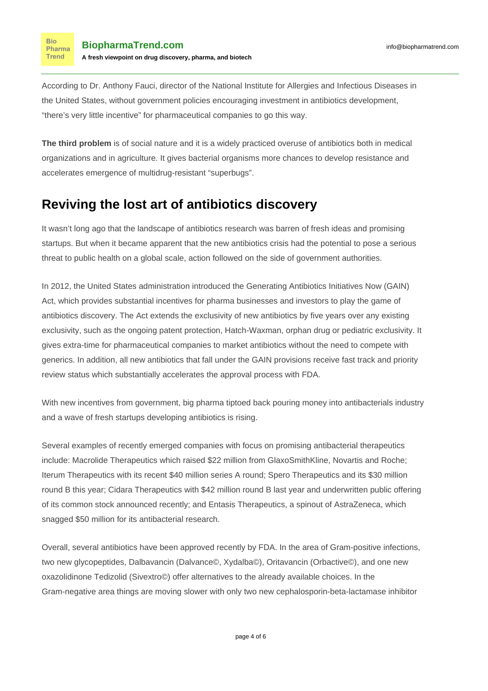**Bio** Pharma Trend

According to Dr. Anthony Fauci, director of the National Institute for Allergies and Infectious Diseases in the United States, without government policies encouraging investment in antibiotics development, "there's very little incentive" for pharmaceutical companies to go this way.

**The third problem** is of social nature and it is a widely practiced overuse of antibiotics both in medical organizations and in agriculture. It gives bacterial organisms more chances to develop resistance and accelerates emergence of multidrug-resistant "superbugs".

### **Reviving the lost art of antibiotics discovery**

It wasn't long ago that the landscape of antibiotics research was barren of fresh ideas and promising startups. But when it became apparent that the new antibiotics crisis had the potential to pose a serious threat to public health on a global scale, action followed on the side of government authorities.

In 2012, the United States administration introduced the Generating Antibiotics Initiatives Now (GAIN) Act, which provides substantial incentives for pharma businesses and investors to play the game of antibiotics discovery. The Act extends the exclusivity of new antibiotics by five years over any existing exclusivity, such as the ongoing patent protection, Hatch-Waxman, orphan drug or pediatric exclusivity. It gives extra-time for pharmaceutical companies to market antibiotics without the need to compete with generics. In addition, all new antibiotics that fall under the GAIN provisions receive [fast track and priority](http://www.fda.gov/forconsumers/byaudience/forpatientadvocates/speedingaccesstoimportantnewtherapies/ucm128291.htm) [review](http://www.fda.gov/forconsumers/byaudience/forpatientadvocates/speedingaccesstoimportantnewtherapies/ucm128291.htm) status which substantially accelerates the approval process with FDA.

With new incentives from government, big pharma tiptoed back pouring money into antibacterials industry and a wave of fresh startups developing antibiotics is rising.

Several examples of recently emerged companies with focus on promising antibacterial therapeutics include: Macrolide Therapeutics which raised \$22 million from GlaxoSmithKline, Novartis and Roche; Iterum Therapeutics with its recent \$40 million series A round; Spero Therapeutics and its \$30 million round B this year; Cidara Therapeutics with \$42 million round B last year and underwritten public offering of its common stock announced recently; and Entasis Therapeutics, a spinout of AstraZeneca, which snagged \$50 million for its antibacterial research.

Overall, several antibiotics have been approved recently by FDA. In the area of Gram-positive infections, two new glycopeptides, Dalbavancin (Dalvance©, Xydalba©), Oritavancin (Orbactive©), and one new oxazolidinone Tedizolid (Sivextro©) offer alternatives to the already available choices. In the Gram-negative area things are moving slower with only two new cephalosporin-beta-lactamase inhibitor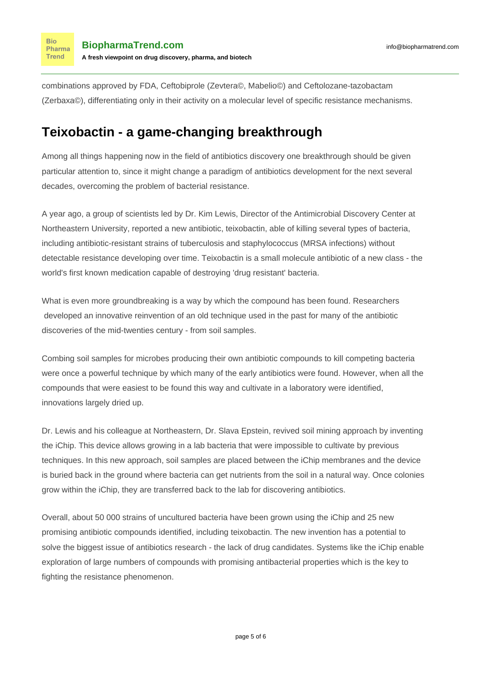**Bio** Pharma Trend

combinations approved by FDA, Ceftobiprole (Zevtera©, Mabelio©) and Ceftolozane-tazobactam (Zerbaxa©), differentiating only in their activity on a molecular level of specific resistance mechanisms.

#### **Teixobactin - a game-changing breakthrough**

Among all things happening now in the field of antibiotics discovery one breakthrough should be given particular attention to, since it might change a paradigm of antibiotics development for the next several decades, overcoming the problem of bacterial resistance.

A year ago, a group of scientists led by Dr. Kim Lewis, Director of the Antimicrobial Discovery Center at Northeastern University, [reported](http://www.nature.com/nature/journal/v517/n7535/full/nature14098.html) a new antibiotic, teixobactin, able of killing several types of bacteria, including antibiotic-resistant strains of tuberculosis and staphylococcus (MRSA infections) without detectable resistance developing over time. Teixobactin is a small molecule antibiotic of a new class - the world's first known medication capable of destroying 'drug resistant' bacteria.

What is even more groundbreaking is a way by which the compound has been found. Researchers developed an innovative reinvention of an old technique used in the past for many of the antibiotic discoveries of the mid-twenties century - from soil samples.

Combing soil samples for microbes producing their own antibiotic compounds to kill competing bacteria were once a powerful technique by which many of the early antibiotics were found. However, when all the compounds that were easiest to be found this way and cultivate in a laboratory were identified, innovations largely dried up.

Dr. Lewis and his colleague at Northeastern, Dr. Slava Epstein, revived soil mining approach by inventing the [iChip](http://www.nature.com/nature/journal/v517/n7535/fig_tab/nature14098_SF1.html). This device allows growing in a lab bacteria that were impossible to cultivate by previous techniques. In this new approach, soil samples are placed between the iChip membranes and the device is buried back in the ground where bacteria can get nutrients from the soil in a natural way. Once colonies grow within the iChip, they are transferred back to the lab for discovering antibiotics.

Overall, about 50 000 strains of uncultured bacteria have been grown using the iChip and 25 new promising antibiotic compounds identified, including teixobactin. The new invention has a potential to solve the biggest issue of antibiotics research - the lack of drug candidates. Systems like the iChip enable exploration of large numbers of compounds with promising antibacterial properties which is the key to fighting the resistance phenomenon.